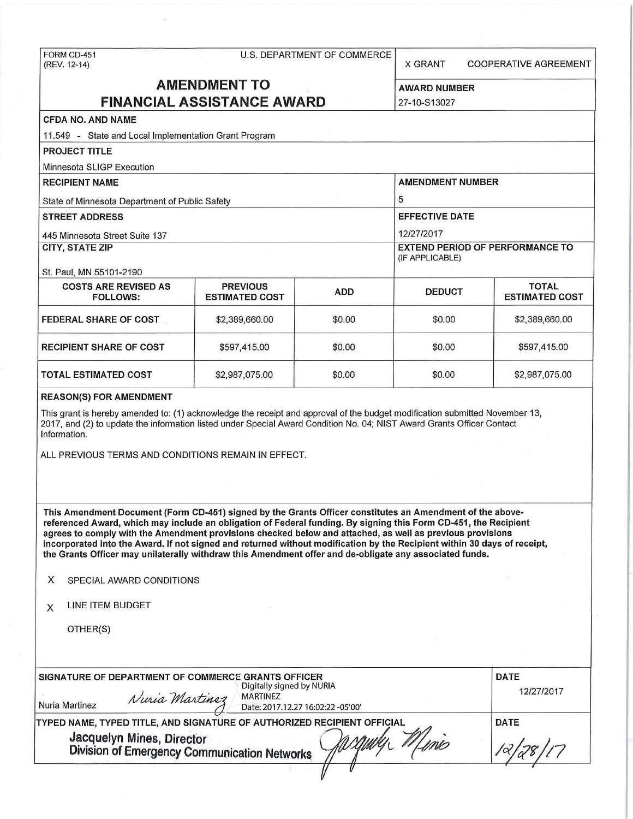# FORM CD-451 U.S. DEPARTMENT OF COMMERCE

X GRANT COOPERATIVE AGREEMENT

# **AMENDMENT TO** AWARD NUMBER **FINANCIAL ASSISTANCE AWARD** 27-10-S13027

### **CFDA NO. AND NAME**

11 .549 - State and Local Implementation Grant Program

**PROJECT TITLE** 

Minnesota SLIGP Execution

| <b>RECIPIENT NAME</b>                          | <b>AMENDMENT NUMBER</b>                                   |            |               |                                       |
|------------------------------------------------|-----------------------------------------------------------|------------|---------------|---------------------------------------|
|                                                |                                                           |            |               |                                       |
| State of Minnesota Department of Public Safety | 5                                                         |            |               |                                       |
| <b>STREET ADDRESS</b>                          | <b>EFFECTIVE DATE</b>                                     |            |               |                                       |
| 445 Minnesota Street Suite 137                 | 12/27/2017                                                |            |               |                                       |
| <b>CITY, STATE ZIP</b>                         | <b>EXTEND PERIOD OF PERFORMANCE TO</b><br>(IF APPLICABLE) |            |               |                                       |
| St. Paul, MN 55101-2190                        |                                                           |            |               |                                       |
| <b>COSTS ARE REVISED AS</b><br><b>FOLLOWS:</b> | <b>PREVIOUS</b><br><b>ESTIMATED COST</b>                  | <b>ADD</b> | <b>DEDUCT</b> | <b>TOTAL</b><br><b>ESTIMATED COST</b> |
| <b>FEDERAL SHARE OF COST</b>                   | \$2,389,660.00                                            | \$0.00     | \$0.00        | \$2,389,660.00                        |
| <b>RECIPIENT SHARE OF COST</b>                 | \$597,415.00                                              | \$0.00     | \$0.00        | \$597,415.00                          |
| <b>TOTAL ESTIMATED COST</b>                    | \$2,987,075.00                                            | \$0.00     | \$0.00        | \$2,987,075.00                        |

#### **REASON(S) FOR AMENDMENT**

This grant is hereby amended to: (1) acknowledge the receipt and approval of the budget modification submitted November 13, 2017, and (2) to update the information listed under Special Award Condition No. 04; NIST Award Grants Officer Contact Information.

ALL PREVIOUS TERMS AND CONDITIONS REMAIN IN EFFECT.

**This Amendment Document (Form CD-451) signed by the Grants Officer constitutes an Amendment of the abovereferenced Award, which may include an obligation of Federal funding. By signing this Form CD-451, the Recipient agrees to comply with the Amendment provisions checked below and attached, as well as previous provisions incorporated into the Award. If not signed and returned without modification by the Recipient within 30 days of receipt, the Grants Officer may unilaterally withdraw this Amendment offer and de-obligate any associated funds.** 

**X** SPECIAL AWARD CONDITIONS

| X |  |  | LINE ITEM BUDGET |  |
|---|--|--|------------------|--|
|---|--|--|------------------|--|

OTHER(S)

| SIGNATURE OF DEPARTMENT OF COMMERCE GRANTS OFFICER                        | <b>DATE</b><br>12/27/2017 |                                                      |  |
|---------------------------------------------------------------------------|---------------------------|------------------------------------------------------|--|
| Nuria Martinez                                                            | Nuria Martinez            | <b>MARTINEZ</b><br>Date: 2017.12.27 16:02:22 -05'00' |  |
| TYPED NAME, TYPED TITLE, AND SIGNATURE OF AUTHORIZED RECIPIENT OFFICIAL   | <b>DATE</b>               |                                                      |  |
| Jacquelyn Mines, Director<br>Division of Emergency Communication Networks |                           |                                                      |  |
|                                                                           |                           |                                                      |  |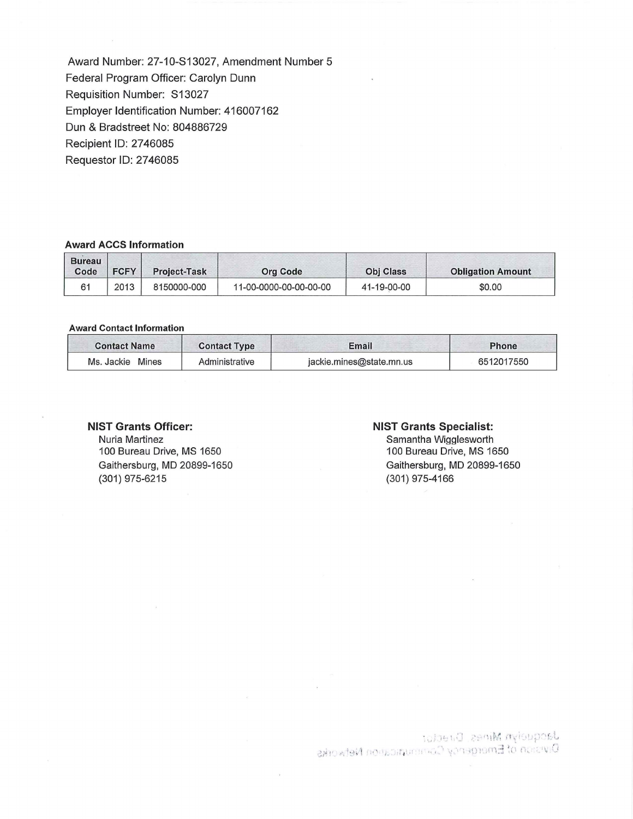Award Number: 27-10-S13027, Amendment Number 5 Federal Program Officer: Carolyn Dunn Requisition Number: S13027 Employer Identification Number: 416007162 Dun & Bradstreet No: 804886729 Recipient ID: 2746085 Requestor ID: 2746085

#### **Award ACCS Information**

| <b>Bureau</b><br>Code | <b>FCFY</b> | <b>Project-Task</b> | <b>Org Code</b>        | <b>Obj Class</b> | <b>Obligation Amount</b> |
|-----------------------|-------------|---------------------|------------------------|------------------|--------------------------|
| 61                    | 2013        | 8150000-000         | 11-00-0000-00-00-00-00 | 41-19-00-00      | \$0.00                   |

#### **Award Contact Information**

| <b>Contact Name</b> | <b>Contact Type</b> | Email                    | Phone      |
|---------------------|---------------------|--------------------------|------------|
| Mines<br>Ms. Jackie | Administrative      | jackie.mines@state.mn.us | 6512017550 |

#### **NIST Grants Officer:**

Nuria Martinez 100 Bureau Drive, MS 1650 Gaithersburg, MD 20899-1650 (301) 975-6215

#### **NIST Grants Specialist:**

Samantha Wigglesworth 100 Bureau Drive, MS 1650 Gaithersburg, MD 20899-1650 (301) 975-4166

Jacquelyn Mines, Duacl<br>Division of Emergency C.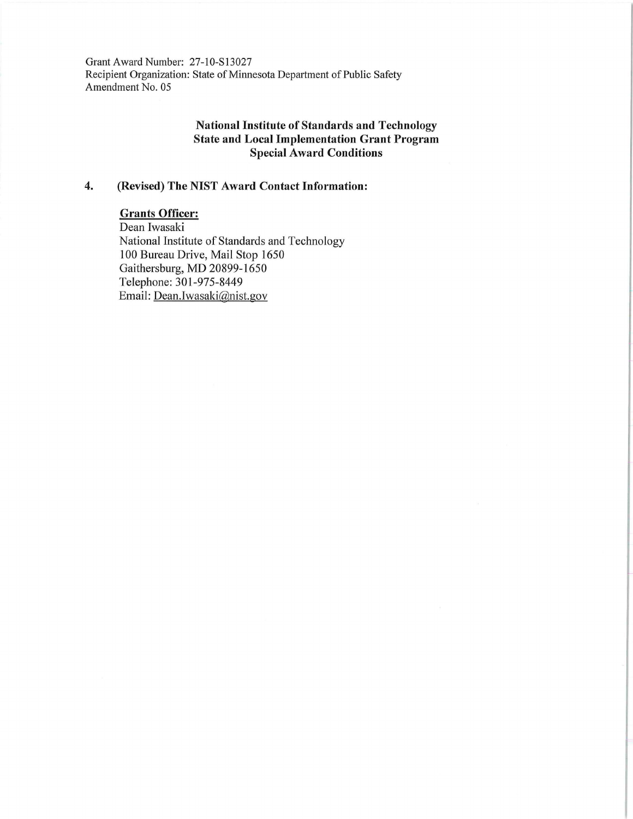Grant Award Number: 27-10-S13027 Recipient Organization: State of Minnesota Department of Public Safety Amendment No. 05

### **National Institute of Standards and Technology State and Local Implementation Grant Program Special Award Conditions**

## **4. (Revised) The NIST Award Contact Information:**

# **Grants Officer:**

Dean Iwasaki National Institute of Standards and Technology 100 Bureau Drive, Mail Stop 1650 Gaithersburg, MD 20899-1650 Telephone: 301-975-8449 Email: Dean.Iwasaki@nist.gov